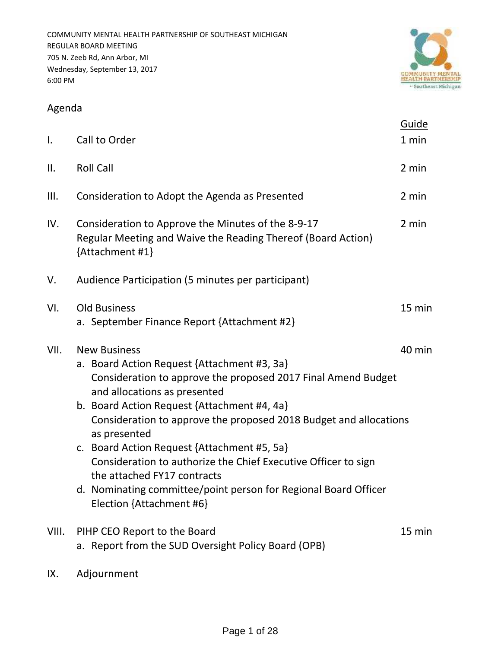

# Agenda

| Ι.    | Call to Order                                                                                                                                                                                                                                                                                                                                                                                                                                                                                                                                          | Guide<br>1 min |
|-------|--------------------------------------------------------------------------------------------------------------------------------------------------------------------------------------------------------------------------------------------------------------------------------------------------------------------------------------------------------------------------------------------------------------------------------------------------------------------------------------------------------------------------------------------------------|----------------|
| II.   | <b>Roll Call</b>                                                                                                                                                                                                                                                                                                                                                                                                                                                                                                                                       | 2 min          |
| III.  | Consideration to Adopt the Agenda as Presented                                                                                                                                                                                                                                                                                                                                                                                                                                                                                                         | 2 min          |
| IV.   | Consideration to Approve the Minutes of the 8-9-17<br>Regular Meeting and Waive the Reading Thereof (Board Action)<br>{Attachment #1}                                                                                                                                                                                                                                                                                                                                                                                                                  | 2 min          |
| V.    | Audience Participation (5 minutes per participant)                                                                                                                                                                                                                                                                                                                                                                                                                                                                                                     |                |
| VI.   | <b>Old Business</b><br>a. September Finance Report {Attachment #2}                                                                                                                                                                                                                                                                                                                                                                                                                                                                                     | 15 min         |
| VII.  | <b>New Business</b><br>a. Board Action Request {Attachment #3, 3a}<br>Consideration to approve the proposed 2017 Final Amend Budget<br>and allocations as presented<br>b. Board Action Request {Attachment #4, 4a}<br>Consideration to approve the proposed 2018 Budget and allocations<br>as presented<br>c. Board Action Request {Attachment #5, 5a}<br>Consideration to authorize the Chief Executive Officer to sign<br>the attached FY17 contracts<br>d. Nominating committee/point person for Regional Board Officer<br>Election {Attachment #6} | 40 min         |
| VIII. | PIHP CEO Report to the Board<br>a. Report from the SUD Oversight Policy Board (OPB)                                                                                                                                                                                                                                                                                                                                                                                                                                                                    | 15 min         |

IX. Adjournment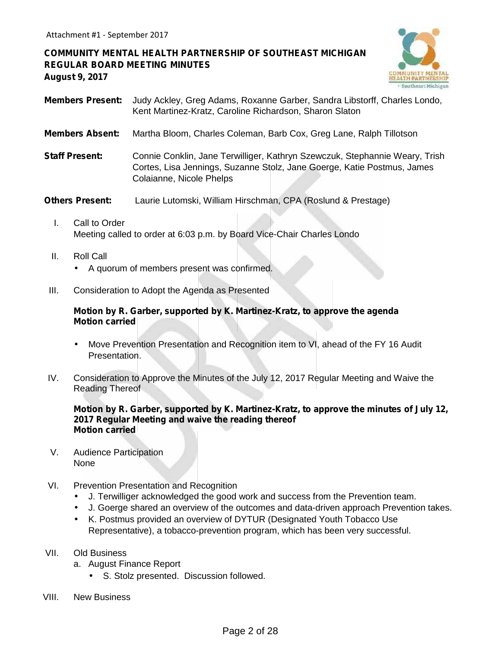**COMMUNITY MENTAL HEALTH PARTNERSHIP OF SOUTHEAST MICHIGAN REGULAR BOARD MEETING MINUTES August 9, 2017**



- **Members Present:** Judy Ackley, Greg Adams, Roxanne Garber, Sandra Libstorff, Charles Londo, Kent Martinez-Kratz, Caroline Richardson, Sharon Slaton
- **Members Absent:** Martha Bloom, Charles Coleman, Barb Cox, Greg Lane, Ralph Tillotson
- **Staff Present:** Connie Conklin, Jane Terwilliger, Kathryn Szewczuk, Stephannie Weary, Trish Cortes, Lisa Jennings, Suzanne Stolz, Jane Goerge, Katie Postmus, James Colaianne, Nicole Phelps

**Others Present:** Laurie Lutomski, William Hirschman, CPA (Roslund & Prestage)

- I. Call to Order Meeting called to order at 6:03 p.m. by Board Vice-Chair Charles Londo
- II. Roll Call A quorum of members present was confirmed.
- III. Consideration to Adopt the Agenda as Presented

#### **Motion by R. Garber, supported by K. Martinez-Kratz, to approve the agenda Motion carried**

- Move Prevention Presentation and Recognition item to VI, ahead of the FY 16 Audit Presentation.
- IV. Consideration to Approve the Minutes of the July 12, 2017 Regular Meeting and Waive the Reading Thereof

**Motion by R. Garber, supported by K. Martinez-Kratz, to approve the minutes of July 12, 2017 Regular Meeting and waive the reading thereof Motion carried**

- V. Audience Participation None
- VI. Prevention Presentation and Recognition
	- J. Terwilliger acknowledged the good work and success from the Prevention team.
	- J. Goerge shared an overview of the outcomes and data-driven approach Prevention takes.
	- K. Postmus provided an overview of DYTUR (Designated Youth Tobacco Use Representative), a tobacco-prevention program, which has been very successful.
- VII. Old Business
	- a. August Finance Report
		- S. Stolz presented. Discussion followed.
- VIII. New Business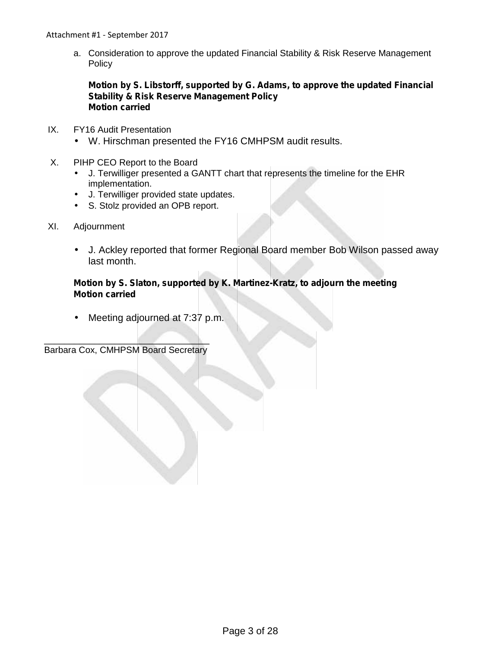Attachment #1 - September 2017

a. Consideration to approve the updated Financial Stability & Risk Reserve Management **Policy** 

### **Motion by S. Libstorff, supported by G. Adams, to approve the updated Financial Stability & Risk Reserve Management Policy Motion carried**

- IX. FY16 Audit Presentation W. Hirschman presented the FY16 CMHPSM audit results.
- X. PIHP CEO Report to the Board
	- J. Terwilliger presented a GANTT chart that represents the timeline for the EHR implementation.
		- J. Terwilliger provided state updates.
	- S. Stolz provided an OPB report.
- XI. Adjournment
	- J. Ackley reported that former Regional Board member Bob Wilson passed away last month.

## **Motion by S. Slaton, supported by K. Martinez-Kratz, to adjourn the meeting Motion carried**

Meeting adjourned at 7:37 p.m.

 $\mathcal{L} = \{ \mathcal{L} \mid \mathcal{L} \in \mathcal{L} \}$ 

Barbara Cox, CMHPSM Board Secretary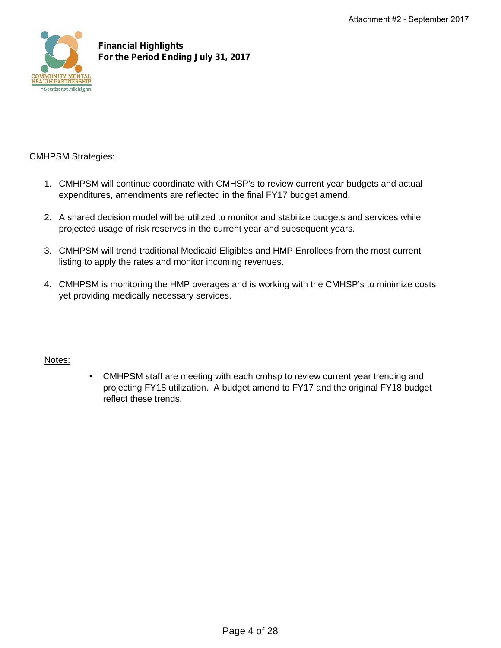

## **Financial Highlights For the Period Ending July 31, 2017**

## CMHPSM Strategies:

- 1. CMHPSM will continue coordinate with CMHSP's to review current year budgets and actual expenditures, amendments are reflected in the final FY17 budget amend.
- 2. A shared decision model will be utilized to monitor and stabilize budgets and services while projected usage of risk reserves in the current year and subsequent years.
- 3. CMHPSM will trend traditional Medicaid Eligibles and HMP Enrollees from the most current listing to apply the rates and monitor incoming revenues.
- 4. CMHPSM is monitoring the HMP overages and is working with the CMHSP's to minimize costs yet providing medically necessary services.

## Notes:

 CMHPSM staff are meeting with each cmhsp to review current year trending and projecting FY18 utilization. A budget amend to FY17 and the original FY18 budget reflect these trends.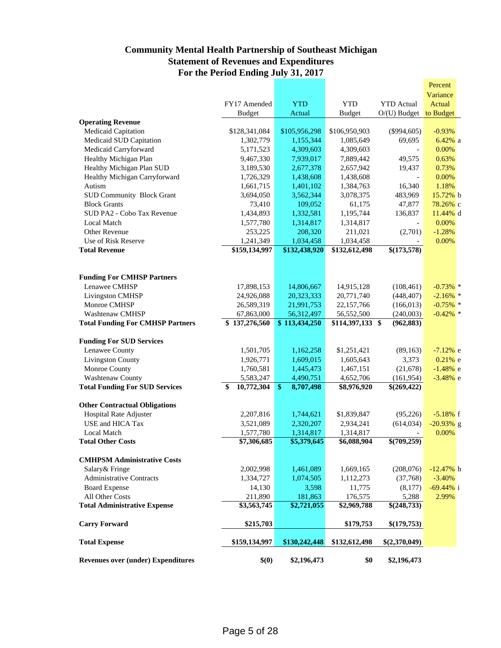## **Community Mental Health Partnership of Southeast Michigan Statement of Revenues and Expenditures For the Period Ending July 31, 2017**

|                                                           |                                            |                            |                          |                           | Percent      |
|-----------------------------------------------------------|--------------------------------------------|----------------------------|--------------------------|---------------------------|--------------|
|                                                           |                                            |                            |                          |                           | Variance     |
|                                                           | FY17 Amended                               | <b>YTD</b>                 | <b>YTD</b>               | <b>YTD</b> Actual         | Actual       |
|                                                           | <b>Budget</b>                              | Actual                     | <b>Budget</b>            | $O/(U)$ Budget            | to Budget    |
| <b>Operating Revenue</b>                                  |                                            |                            |                          |                           |              |
| Medicaid Capitation                                       | \$128,341,084                              | \$105,956,298              | \$106,950,903            | $(\$994,605)$             | $-0.93%$     |
| Medicaid SUD Capitation                                   | 1,302,779                                  | 1,155,344                  | 1,085,649                | 69,695                    | $6.42\%$ a   |
| Medicaid Carryforward                                     | 5,171,523                                  | 4,309,603                  | 4,309,603                |                           | 0.00%        |
| Healthy Michigan Plan                                     | 9,467,330                                  | 7,939,017                  | 7,889,442                | 49,575                    | 0.63%        |
| Healthy Michigan Plan SUD                                 | 3,189,530                                  | 2,677,378                  | 2,657,942                | 19,437                    | 0.73%        |
| Healthy Michigan Carryforward                             | 1,726,329                                  | 1,438,608                  | 1,438,608                |                           | 0.00%        |
| Autism                                                    | 1,661,715                                  | 1,401,102                  | 1,384,763                | 16,340                    | 1.18%        |
| <b>SUD Community Block Grant</b>                          | 3,694,050                                  | 3,562,344                  | 3,078,375                | 483,969                   | 15.72% b     |
| <b>Block Grants</b>                                       | 73,410                                     | 109,052                    | 61,175                   | 47,877                    | 78.26% с     |
| SUD PA2 - Cobo Tax Revenue                                | 1,434,893                                  | 1,332,581                  | 1,195,744                | 136,837                   | 11.44% d     |
| Local Match                                               |                                            | 1,314,817                  |                          |                           | 0.00%        |
| Other Revenue                                             | 1,577,780<br>253,225                       | 208,320                    | 1,314,817<br>211,021     | (2,701)                   | $-1.28%$     |
| Use of Risk Reserve                                       | 1,241,349                                  | 1,034,458                  | 1,034,458                |                           | 0.00%        |
| <b>Total Revenue</b>                                      | \$159,134,997                              | \$132,438,920              | \$132,612,498            | \$(173,578)               |              |
|                                                           |                                            |                            |                          |                           |              |
|                                                           |                                            |                            |                          |                           |              |
| <b>Funding For CMHSP Partners</b>                         |                                            |                            |                          |                           |              |
| Lenawee CMHSP                                             | 17,898,153                                 | 14,806,667                 | 14,915,128               | (108, 461)                | $-0.73\%$ *  |
|                                                           |                                            |                            |                          |                           |              |
| Livingston CMHSP                                          | 24,926,088                                 | 20,323,333                 | 20,771,740               | (448, 407)                | $-2.16\%$ *  |
| Monroe CMHSP                                              | 26,589,319                                 | 21,991,753                 | 22,157,766               | (166, 013)                | $-0.75\%$ *  |
| <b>Washtenaw CMHSP</b>                                    | 67,863,000                                 | 56,312,497                 | 56,552,500               | (240,003)                 | $-0.42\%$ *  |
| <b>Total Funding For CMHSP Partners</b>                   | \$137,276,560                              | $\overline{$}113,434,250$  | \$114,397,133 \$         | (962, 883)                |              |
| <b>Funding For SUD Services</b>                           |                                            |                            |                          |                           |              |
| Lenawee County                                            | 1,501,705                                  | 1,162,258                  | \$1,251,421              | (89, 163)                 | $-7.12%$ e   |
| <b>Livingston County</b>                                  | 1,926,771                                  | 1,609,015                  | 1,605,643                | 3,373                     | $0.21\%$ e   |
| Monroe County                                             | 1,760,581                                  | 1,445,473                  | 1,467,151                | (21,678)                  | $-1.48%$ e   |
|                                                           |                                            | 4,490,751                  |                          |                           |              |
| Washtenaw County<br><b>Total Funding For SUD Services</b> | 5,583,247<br>$\overline{10,772,304}$<br>\$ | $\mathbf{\$}$<br>8,707,498 | 4,652,706<br>\$8,976,920 | (161, 954)<br>\$(269,422) | $-3.48\%$ e  |
|                                                           |                                            |                            |                          |                           |              |
| <b>Other Contractual Obligations</b>                      |                                            |                            |                          |                           |              |
| Hospital Rate Adjuster                                    | 2,207,816                                  | 1,744,621                  | \$1,839,847              | (95, 226)                 | $-5.18%$ f   |
| USE and HICA Tax                                          | 3,521,089                                  | 2,320,207                  | 2,934,241                | (614, 034)                | $-20.93\%$ g |
| <b>Local Match</b>                                        | 1,577,780                                  | 1,314,817                  | 1,314,817                |                           | 0.00%        |
| <b>Total Other Costs</b>                                  | \$7,306,685                                | \$5,379,645                | \$6,088,904              | \$(709,259)               |              |
|                                                           |                                            |                            |                          |                           |              |
| <b>CMHPSM Administrative Costs</b>                        |                                            |                            |                          |                           |              |
| Salary & Fringe                                           | 2,002,998                                  | 1,461,089                  | 1,669,165                | (208,076)                 | $-12.47%$ h  |
| <b>Administrative Contracts</b>                           | 1,334,727                                  | 1,074,505                  | 1,112,273                | (37,768)                  | $-3.40%$     |
| <b>Board Expense</b>                                      | 14,130                                     | 3,598                      | 11,775                   | (8,177)                   | $-69.44\%$ i |
| All Other Costs                                           | 211,890                                    | 181,863                    | 176,575                  | 5,288                     | 2.99%        |
| <b>Total Administrative Expense</b>                       | \$3,563,745                                | $\overline{\$2,721,055}$   | \$2,969,788              | \$(248,733)               |              |
|                                                           |                                            |                            |                          |                           |              |
| <b>Carry Forward</b>                                      | \$215,703                                  |                            | \$179,753                | \$(179,753)               |              |
| <b>Total Expense</b>                                      | \$159,134,997                              | \$130,242,448              | \$132,612,498            | \$(2,370,049)             |              |
|                                                           |                                            |                            |                          |                           |              |
| <b>Revenues over (under) Expenditures</b>                 | \$(0)                                      | \$2,196,473                | \$0                      | \$2,196,473               |              |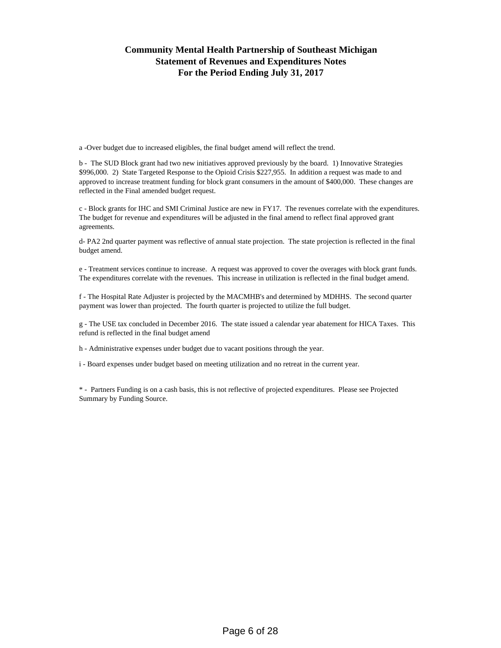## **Community Mental Health Partnership of Southeast Michigan Statement of Revenues and Expenditures Notes For the Period Ending July 31, 2017**

a -Over budget due to increased eligibles, the final budget amend will reflect the trend.

b - The SUD Block grant had two new initiatives approved previously by the board. 1) Innovative Strategies \$996,000. 2) State Targeted Response to the Opioid Crisis \$227,955. In addition a request was made to and approved to increase treatment funding for block grant consumers in the amount of \$400,000. These changes are reflected in the Final amended budget request.

c - Block grants for IHC and SMI Criminal Justice are new in FY17. The revenues correlate with the expenditures. The budget for revenue and expenditures will be adjusted in the final amend to reflect final approved grant agreements.

d- PA2 2nd quarter payment was reflective of annual state projection. The state projection is reflected in the final budget amend.

e - Treatment services continue to increase. A request was approved to cover the overages with block grant funds. The expenditures correlate with the revenues. This increase in utilization is reflected in the final budget amend.

f - The Hospital Rate Adjuster is projected by the MACMHB's and determined by MDHHS. The second quarter payment was lower than projected. The fourth quarter is projected to utilize the full budget.

g - The USE tax concluded in December 2016. The state issued a calendar year abatement for HICA Taxes. This refund is reflected in the final budget amend

h - Administrative expenses under budget due to vacant positions through the year.

i - Board expenses under budget based on meeting utilization and no retreat in the current year.

\* - Partners Funding is on a cash basis, this is not reflective of projected expenditures. Please see Projected Summary by Funding Source.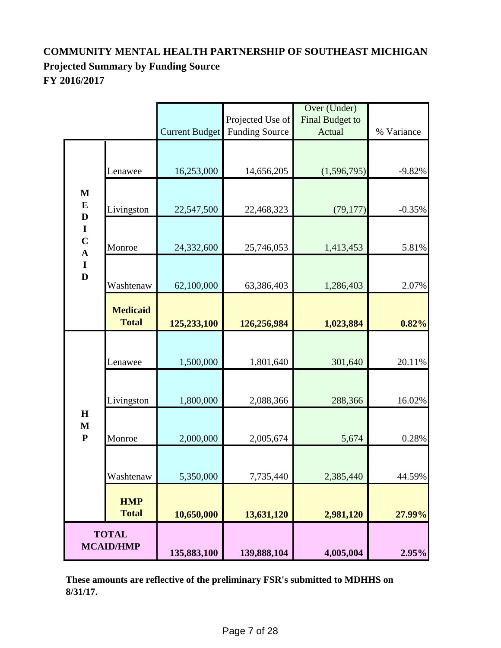## **COMMUNITY MENTAL HEALTH PARTNERSHIP OF SOUTHEAST MICHIGAN Projected Summary by Funding Source FY 2016/2017**

|                               |                                  |                |                       | Over (Under)    |            |
|-------------------------------|----------------------------------|----------------|-----------------------|-----------------|------------|
|                               |                                  |                | Projected Use of      | Final Budget to |            |
|                               |                                  | Current Budget | <b>Funding Source</b> | Actual          | % Variance |
|                               | Lenawee                          | 16,253,000     | 14,656,205            | (1,596,795)     | $-9.82%$   |
| $\mathbf M$<br>${\bf E}$      | Livingston                       | 22,547,500     | 22,468,323            | (79, 177)       | $-0.35%$   |
| $\mathbf{D}$<br>$\frac{I}{C}$ | Monroe                           | 24,332,600     | 25,746,053            | 1,413,453       | 5.81%      |
| $\frac{I}{D}$                 | Washtenaw                        | 62,100,000     | 63,386,403            | 1,286,403       | 2.07%      |
|                               | <b>Medicaid</b><br><b>Total</b>  | 125,233,100    | 126,256,984           | 1,023,884       | 0.82%      |
|                               | Lenawee                          | 1,500,000      | 1,801,640             | 301,640         | 20.11%     |
|                               | Livingston                       | 1,800,000      | 2,088,366             | 288,366         | 16.02%     |
| H<br>$\mathbf M$<br>${\bf P}$ | Monroe                           | 2,000,000      | 2,005,674             | 5,674           | 0.28%      |
|                               | Washtenaw                        | 5,350,000      | 7,735,440             | 2,385,440       | 44.59%     |
|                               | <b>HMP</b><br><b>Total</b>       | 10,650,000     | 13,631,120            | 2,981,120       | 27.99%     |
|                               | <b>TOTAL</b><br><b>MCAID/HMP</b> | 135,883,100    | 139,888,104           | 4,005,004       | 2.95%      |

**These amounts are reflective of the preliminary FSR's submitted to MDHHS on 8/31/17.**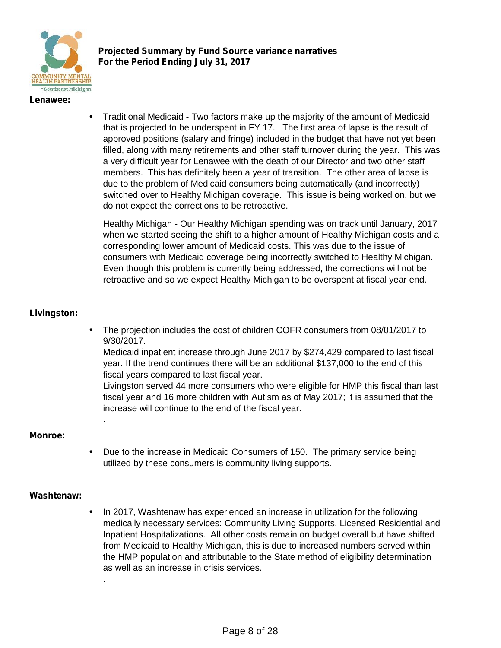

**Projected Summary by Fund Source variance narratives For the Period Ending July 31, 2017**

#### **Lenawee:**

 Traditional Medicaid - Two factors make up the majority of the amount of Medicaid that is projected to be underspent in FY 17. The first area of lapse is the result of approved positions (salary and fringe) included in the budget that have not yet been filled, along with many retirements and other staff turnover during the year. This was a very difficult year for Lenawee with the death of our Director and two other staff members. This has definitely been a year of transition. The other area of lapse is due to the problem of Medicaid consumers being automatically (and incorrectly) switched over to Healthy Michigan coverage. This issue is being worked on, but we do not expect the corrections to be retroactive.

Healthy Michigan - Our Healthy Michigan spending was on track until January, 2017 when we started seeing the shift to a higher amount of Healthy Michigan costs and a corresponding lower amount of Medicaid costs. This was due to the issue of consumers with Medicaid coverage being incorrectly switched to Healthy Michigan. Even though this problem is currently being addressed, the corrections will not be retroactive and so we expect Healthy Michigan to be overspent at fiscal year end.

#### **Livingston:**

 The projection includes the cost of children COFR consumers from 08/01/2017 to 9/30/2017.

Medicaid inpatient increase through June 2017 by \$274,429 compared to last fiscal year. If the trend continues there will be an additional \$137,000 to the end of this fiscal years compared to last fiscal year.

Livingston served 44 more consumers who were eligible for HMP this fiscal than last fiscal year and 16 more children with Autism as of May 2017; it is assumed that the increase will continue to the end of the fiscal year.

#### **Monroe:**

.

.

 Due to the increase in Medicaid Consumers of 150. The primary service being utilized by these consumers is community living supports.

#### **Washtenaw:**

 In 2017, Washtenaw has experienced an increase in utilization for the following medically necessary services: Community Living Supports, Licensed Residential and Inpatient Hospitalizations. All other costs remain on budget overall but have shifted from Medicaid to Healthy Michigan, this is due to increased numbers served within the HMP population and attributable to the State method of eligibility determination as well as an increase in crisis services.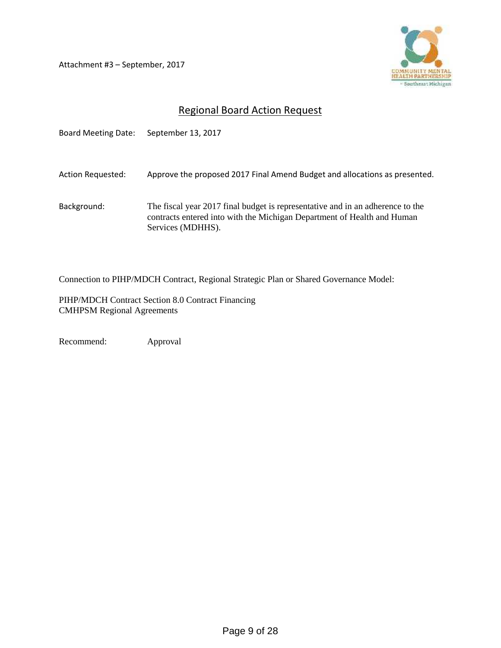Attachment #3 – September, 2017



## Regional Board Action Request

Board Meeting Date: September 13, 2017 Action Requested: Approve the proposed 2017 Final Amend Budget and allocations as presented. Background: The fiscal year 2017 final budget is representative and in an adherence to the contracts entered into with the Michigan Department of Health and Human Services (MDHHS).

Connection to PIHP/MDCH Contract, Regional Strategic Plan or Shared Governance Model:

PIHP/MDCH Contract Section 8.0 Contract Financing CMHPSM Regional Agreements

Recommend: Approval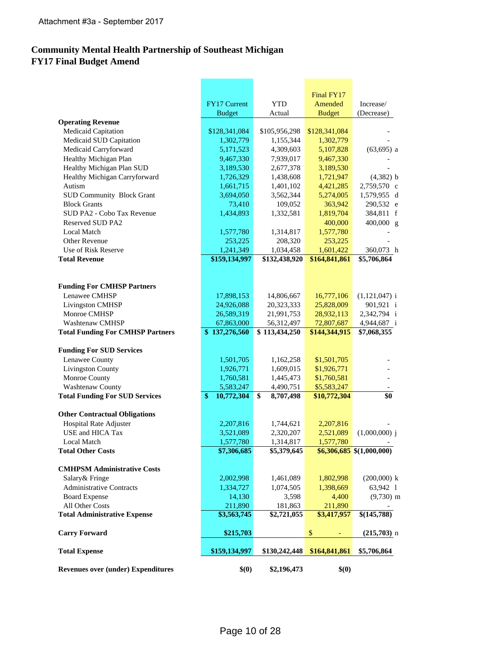## **Community Mental Health Partnership of Southeast Michigan FY17 Final Budget Amend**

|                                           |                  |                         | Final FY17                       |                            |
|-------------------------------------------|------------------|-------------------------|----------------------------------|----------------------------|
|                                           | FY17 Current     | <b>YTD</b>              | Amended                          | Increase/                  |
|                                           | <b>Budget</b>    | Actual                  | <b>Budget</b>                    | (Decrease)                 |
| <b>Operating Revenue</b>                  |                  |                         |                                  |                            |
| Medicaid Capitation                       | \$128,341,084    | \$105,956,298           | \$128,341,084                    |                            |
| Medicaid SUD Capitation                   | 1,302,779        | 1,155,344               | 1,302,779                        |                            |
| Medicaid Carryforward                     | 5,171,523        | 4,309,603               | 5,107,828                        | $(63, 695)$ a              |
| Healthy Michigan Plan                     | 9,467,330        | 7,939,017               | 9,467,330                        |                            |
| Healthy Michigan Plan SUD                 | 3,189,530        | 2,677,378               | 3,189,530                        |                            |
| Healthy Michigan Carryforward             | 1,726,329        | 1,438,608               | 1,721,947                        | $(4,382)$ b                |
| Autism                                    | 1,661,715        | 1,401,102               | 4,421,285                        | 2,759,570 c                |
| <b>SUD Community Block Grant</b>          | 3,694,050        | 3,562,344               | 5,274,005                        | 1,579,955 d                |
| <b>Block Grants</b>                       | 73,410           | 109,052                 | 363,942                          | 290,532 e                  |
| SUD PA2 - Cobo Tax Revenue                | 1,434,893        | 1,332,581               | 1,819,704                        | 384,811 f                  |
| <b>Reserved SUD PA2</b>                   |                  |                         | 400,000                          | $400,000$ g                |
| <b>Local Match</b>                        | 1,577,780        | 1,314,817               | 1,577,780                        |                            |
| Other Revenue                             | 253,225          | 208,320                 | 253,225                          |                            |
| Use of Risk Reserve                       | 1,241,349        | 1,034,458               | 1,601,422                        | 360,073 h                  |
| <b>Total Revenue</b>                      | \$159,134,997    | \$132,438,920           | \$164,841,861                    | \$5,706,864                |
|                                           |                  |                         |                                  |                            |
|                                           |                  |                         |                                  |                            |
| <b>Funding For CMHSP Partners</b>         |                  |                         |                                  |                            |
| Lenawee CMHSP                             | 17,898,153       | 14,806,667              | 16,777,106                       | $(1,121,047)$ i            |
| Livingston CMHSP                          | 24,926,088       | 20,323,333              | 25,828,009                       | 901,921 i                  |
| Monroe CMHSP                              | 26,589,319       | 21,991,753              | 28,932,113                       | 2,342,794 i                |
| <b>Washtenaw CMHSP</b>                    | 67,863,000       | 56,312,497              | 72,807,687                       | 4,944,687 i                |
| <b>Total Funding For CMHSP Partners</b>   | \$137,276,560    | \$113,434,250           | \$144,344,915                    | \$7,068,355                |
|                                           |                  |                         |                                  |                            |
| <b>Funding For SUD Services</b>           |                  |                         |                                  |                            |
| Lenawee County                            | 1,501,705        | 1,162,258               | \$1,501,705                      |                            |
| <b>Livingston County</b>                  | 1,926,771        | 1,609,015               | \$1,926,771                      |                            |
| Monroe County                             | 1,760,581        | 1,445,473               | \$1,760,581                      |                            |
| Washtenaw County                          | 5,583,247        | 4,490,751               | \$5,583,247                      |                            |
| <b>Total Funding For SUD Services</b>     | \$<br>10,772,304 | \$<br>8,707,498         | \$10,772,304                     | \$0                        |
|                                           |                  |                         |                                  |                            |
| <b>Other Contractual Obligations</b>      |                  |                         |                                  |                            |
| Hospital Rate Adjuster                    | 2,207,816        | 1,744,621               | 2,207,816                        |                            |
| USE and HICA Tax                          | 3,521,089        | 2,320,207               | 2,521,089                        | $(1,000,000)$ j            |
| Local Match                               | 1,577,780        | 1,314,817               | 1,577,780                        |                            |
| <b>Total Other Costs</b>                  | \$7,306,685      | \$5,379,645             |                                  | $$6,306,685$ \$(1,000,000) |
|                                           |                  |                         |                                  |                            |
| <b>CMHPSM Administrative Costs</b>        |                  |                         |                                  |                            |
| Salary & Fringe                           | 2,002,998        | 1,461,089               | 1,802,998                        | $(200,000)$ k              |
| <b>Administrative Contracts</b>           | 1,334,727        | 1,074,505               | 1,398,669                        | 63,942 1                   |
| <b>Board Expense</b>                      | 14,130           | 3,598                   | 4,400                            | $(9,730)$ m                |
| All Other Costs                           | 211,890          | 181,863                 | 211,890                          |                            |
| <b>Total Administrative Expense</b>       | \$3,563,745      | $\overline{82,721,055}$ | \$3,417,957                      | \$(145,788)                |
|                                           |                  |                         |                                  |                            |
| <b>Carry Forward</b>                      | \$215,703        |                         | $\,$<br>$\overline{\phantom{a}}$ | $(215,703)$ n              |
|                                           |                  |                         |                                  |                            |
| <b>Total Expense</b>                      | \$159,134,997    | \$130,242,448           | \$164,841,861                    | \$5,706,864                |
|                                           |                  |                         |                                  |                            |
| <b>Revenues over (under) Expenditures</b> | \$(0)            | \$2,196,473             | \$(0)                            |                            |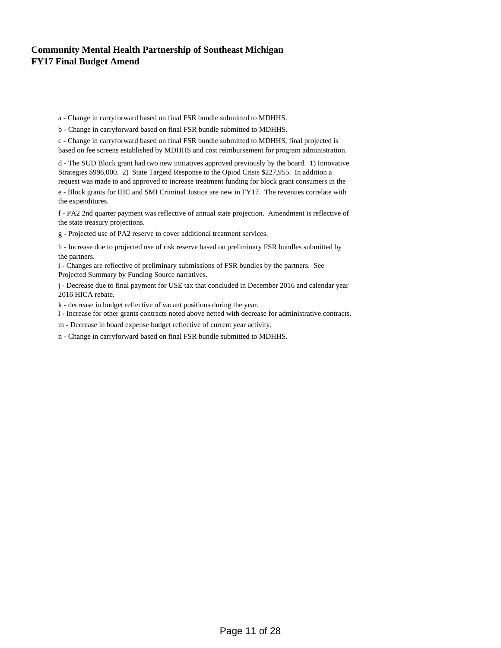## **Community Mental Health Partnership of Southeast Michigan FY17 Final Budget Amend**

a - Change in carryforward based on final FSR bundle submitted to MDHHS.

b - Change in carryforward based on final FSR bundle submitted to MDHHS.

c - Change in carryforward based on final FSR bundle submitted to MDHHS, final projected is based on fee screens established by MDHHS and cost reimbursement for program administration.

d - The SUD Block grant had two new initiatives approved previously by the board. 1) Innovative Strategies \$996,000. 2) State Targetd Response to the Opiod Crisis \$227,955. In addition a request was made to and approved to increase treatment funding for block grant consumers in the e - Block grants for IHC and SMI Criminal Justice are new in FY17. The revenues correlate with the expenditures.

f - PA2 2nd quarter payment was reflective of annual state projection. Amendment is reflective of the state treasury projections.

g - Projected use of PA2 reserve to cover additional treatment services.

h - Increase due to projected use of risk reserve based on preliminary FSR bundles submitted by the partners.

i - Changes are reflective of preliminary submissions of FSR bundles by the partners. See Projected Summary by Funding Source narratives.

j - Decrease due to final payment for USE tax that concluded in December 2016 and calendar year 2016 HICA rebate.

k - decrease in budget reflective of vacant positions during the year.

l - Increase for other grants contracts noted above netted with decrease for administrative contracts.

m - Decrease in board expense budget reflective of current year activity.

n - Change in carryforward based on final FSR bundle submitted to MDHHS.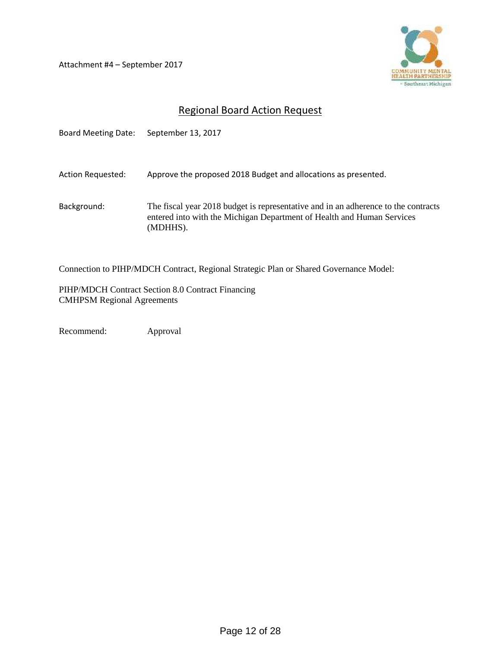Attachment #4 – September 2017



## Regional Board Action Request

| <b>Board Meeting Date:</b> | September 13, 2017                                                                                                                                                       |
|----------------------------|--------------------------------------------------------------------------------------------------------------------------------------------------------------------------|
| Action Requested:          | Approve the proposed 2018 Budget and allocations as presented.                                                                                                           |
| Background:                | The fiscal year 2018 budget is representative and in an adherence to the contracts<br>entered into with the Michigan Department of Health and Human Services<br>(MDHHS). |

Connection to PIHP/MDCH Contract, Regional Strategic Plan or Shared Governance Model:

PIHP/MDCH Contract Section 8.0 Contract Financing CMHPSM Regional Agreements

Recommend: Approval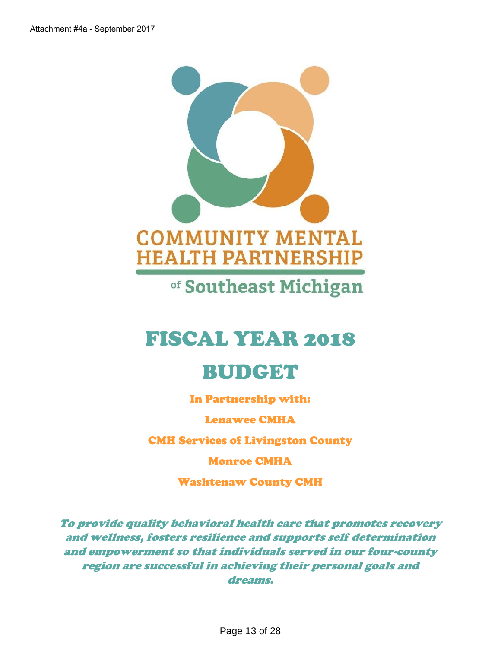

of Southeast Michigan

# FISCAL YEAR 2018

# BUDGET

In Partnership with:

Lenawee CMHA

CMH Services of Livingston County

Monroe CMHA

Washtenaw County CMH

*To provide quality behavioral health care that promotes recovery and wellness, fosters resilience and supports self determination and empowerment so that individuals served in our four-county region are successful in achieving their personal goals and dreams.*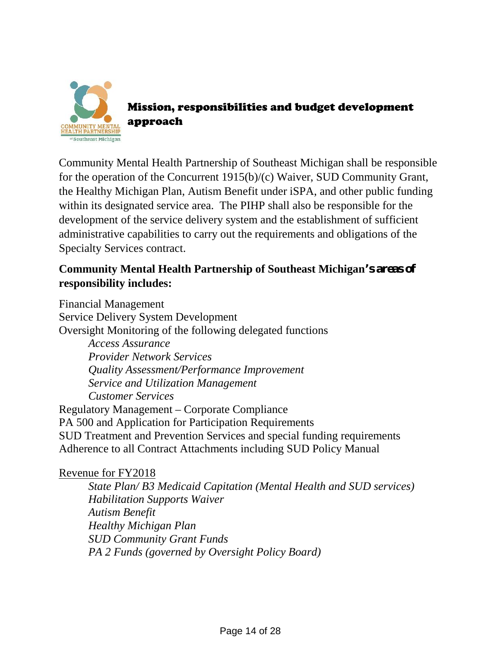

Mission, responsibilities and budget development approach

Community Mental Health Partnership of Southeast Michigan shall be responsible for the operation of the Concurrent 1915(b)/(c) Waiver, SUD Community Grant, the Healthy Michigan Plan, Autism Benefit under iSPA, and other public funding within its designated service area. The PIHP shall also be responsible for the development of the service delivery system and the establishment of sufficient administrative capabilities to carry out the requirements and obligations of the Specialty Services contract.

## **Community Mental Health Partnership of Southeast Michigan's areas of responsibility includes:**

Financial Management Service Delivery System Development Oversight Monitoring of the following delegated functions *Access Assurance Provider Network Services Quality Assessment/Performance Improvement Service and Utilization Management Customer Services* Regulatory Management – Corporate Compliance PA 500 and Application for Participation Requirements SUD Treatment and Prevention Services and special funding requirements Adherence to all Contract Attachments including SUD Policy Manual

## Revenue for FY2018

*State Plan/ B3 Medicaid Capitation (Mental Health and SUD services) Habilitation Supports Waiver Autism Benefit Healthy Michigan Plan SUD Community Grant Funds PA 2 Funds (governed by Oversight Policy Board)*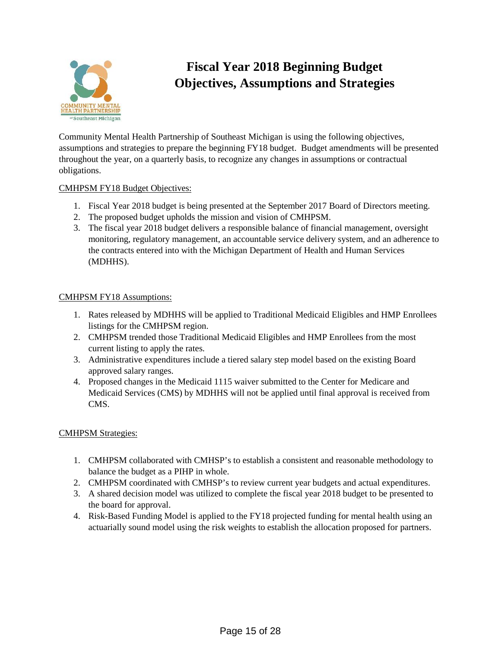

# **Fiscal Year 2018 Beginning Budget Objectives, Assumptions and Strategies**

Community Mental Health Partnership of Southeast Michigan is using the following objectives, assumptions and strategies to prepare the beginning FY18 budget. Budget amendments will be presented throughout the year, on a quarterly basis, to recognize any changes in assumptions or contractual obligations.

### CMHPSM FY18 Budget Objectives:

- 1. Fiscal Year 2018 budget is being presented at the September 2017 Board of Directors meeting.
- 2. The proposed budget upholds the mission and vision of CMHPSM.
- 3. The fiscal year 2018 budget delivers a responsible balance of financial management, oversight monitoring, regulatory management, an accountable service delivery system, and an adherence to the contracts entered into with the Michigan Department of Health and Human Services (MDHHS).

### CMHPSM FY18 Assumptions:

- 1. Rates released by MDHHS will be applied to Traditional Medicaid Eligibles and HMP Enrollees listings for the CMHPSM region.
- 2. CMHPSM trended those Traditional Medicaid Eligibles and HMP Enrollees from the most current listing to apply the rates.
- 3. Administrative expenditures include a tiered salary step model based on the existing Board approved salary ranges.
- 4. Proposed changes in the Medicaid 1115 waiver submitted to the Center for Medicare and Medicaid Services (CMS) by MDHHS will not be applied until final approval is received from CMS.

#### CMHPSM Strategies:

- 1. CMHPSM collaborated with CMHSP's to establish a consistent and reasonable methodology to balance the budget as a PIHP in whole.
- 2. CMHPSM coordinated with CMHSP's to review current year budgets and actual expenditures.
- 3. A shared decision model was utilized to complete the fiscal year 2018 budget to be presented to the board for approval.
- 4. Risk-Based Funding Model is applied to the FY18 projected funding for mental health using an actuarially sound model using the risk weights to establish the allocation proposed for partners.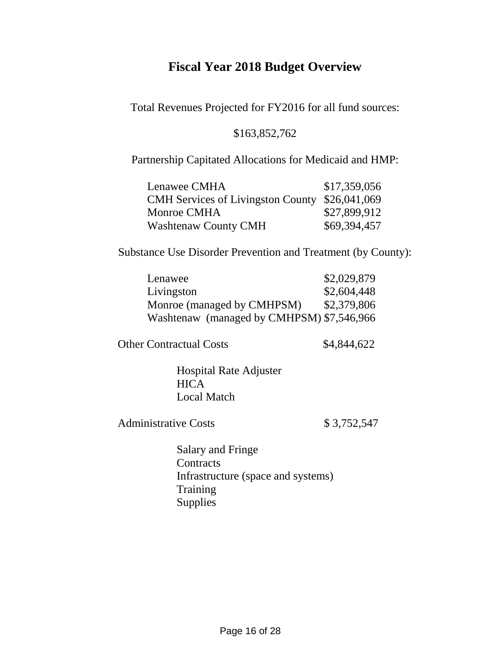# **Fiscal Year 2018 Budget Overview**

Total Revenues Projected for FY2016 for all fund sources:

## \$163,852,762

Partnership Capitated Allocations for Medicaid and HMP:

| Lenawee CMHA                                   | \$17,359,056 |
|------------------------------------------------|--------------|
| CMH Services of Livingston County \$26,041,069 |              |
| Monroe CMHA                                    | \$27,899,912 |
| <b>Washtenaw County CMH</b>                    | \$69,394,457 |

Substance Use Disorder Prevention and Treatment (by County):

| Lenawee                                   | \$2,029,879 |
|-------------------------------------------|-------------|
| Livingston                                | \$2,604,448 |
| Monroe (managed by CMHPSM)                | \$2,379,806 |
| Washtenaw (managed by CMHPSM) \$7,546,966 |             |

Other Contractual Costs \$4,844,622

Hospital Rate Adjuster **HICA** Local Match

Administrative Costs \$ 3,752,547

Salary and Fringe **Contracts** Infrastructure (space and systems) **Training** Supplies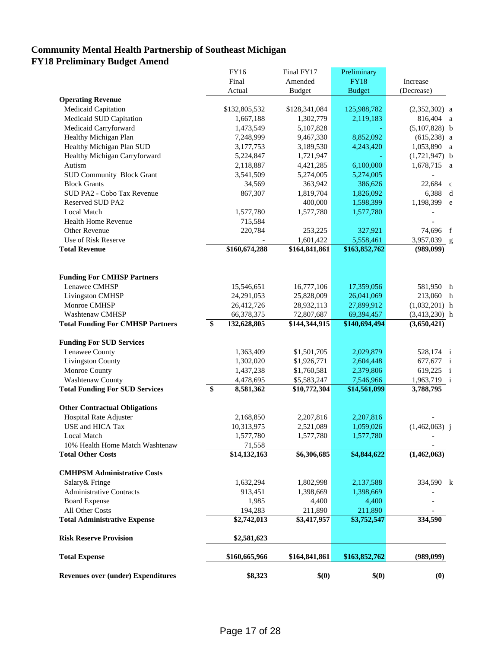## **Community Mental Health Partnership of Southeast Michigan FY18 Preliminary Budget Amend**

|                                           | FY16              | Final FY17    | Preliminary   |                         |
|-------------------------------------------|-------------------|---------------|---------------|-------------------------|
|                                           | Final             | Amended       | <b>FY18</b>   | Increase                |
|                                           | Actual            | <b>Budget</b> | <b>Budget</b> | (Decrease)              |
| <b>Operating Revenue</b>                  |                   |               |               |                         |
| Medicaid Capitation                       | \$132,805,532     | \$128,341,084 | 125,988,782   | $(2,352,302)$ a         |
| Medicaid SUD Capitation                   | 1,667,188         | 1,302,779     | 2,119,183     | 816,404 a               |
| Medicaid Carryforward                     | 1,473,549         | 5,107,828     |               | $(5,107,828)$ b         |
| Healthy Michigan Plan                     | 7,248,999         | 9,467,330     | 8,852,092     | $(615,238)$ a           |
| Healthy Michigan Plan SUD                 | 3,177,753         | 3,189,530     | 4,243,420     | 1,053,890 a             |
| Healthy Michigan Carryforward             | 5,224,847         | 1,721,947     |               | $(1,721,947)$ b         |
| Autism                                    | 2,118,887         | 4,421,285     | 6,100,000     | 1,678,715 a             |
| <b>SUD Community Block Grant</b>          | 3,541,509         | 5,274,005     | 5,274,005     |                         |
| <b>Block Grants</b>                       | 34,569            | 363,942       | 386,626       | 22,684<br>$\mathbf{c}$  |
| SUD PA2 - Cobo Tax Revenue                | 867,307           | 1,819,704     | 1,826,092     | 6,388                   |
| Reserved SUD PA2                          |                   | 400,000       | 1,598,399     | 1,198,399 e             |
| Local Match                               | 1,577,780         | 1,577,780     | 1,577,780     |                         |
| <b>Health Home Revenue</b>                | 715,584           |               |               |                         |
| Other Revenue                             | 220,784           | 253,225       | 327,921       | 74,696 f                |
| Use of Risk Reserve                       |                   | 1,601,422     | 5,558,461     | 3,957,039 g             |
| <b>Total Revenue</b>                      | \$160,674,288     | \$164,841,861 | \$163,852,762 | (989, 099)              |
|                                           |                   |               |               |                         |
|                                           |                   |               |               |                         |
| <b>Funding For CMHSP Partners</b>         |                   |               |               |                         |
| Lenawee CMHSP                             | 15,546,651        | 16,777,106    | 17,359,056    | 581,950 h               |
| Livingston CMHSP                          | 24,291,053        | 25,828,009    | 26,041,069    | 213,060 h               |
| Monroe CMHSP                              | 26,412,726        | 28,932,113    | 27,899,912    | $(1,032,201)$ h         |
| <b>Washtenaw CMHSP</b>                    | 66,378,375        | 72,807,687    | 69,394,457    | $(3,413,230)$ h         |
| <b>Total Funding For CMHSP Partners</b>   | \$<br>132,628,805 | \$144,344,915 | \$140,694,494 | (3,650,421)             |
| <b>Funding For SUD Services</b>           |                   |               |               |                         |
| Lenawee County                            | 1,363,409         | \$1,501,705   | 2,029,879     | 528,174 i               |
| <b>Livingston County</b>                  | 1,302,020         | \$1,926,771   | 2,604,448     | 677,677 i               |
| Monroe County                             | 1,437,238         | \$1,760,581   | 2,379,806     | 619,225<br>$\mathbf{i}$ |
| Washtenaw County                          | 4,478,695         | \$5,583,247   | 7,546,966     | 1,963,719 i             |
| <b>Total Funding For SUD Services</b>     | \$<br>8,581,362   | \$10,772,304  | \$14,561,099  | 3,788,795               |
|                                           |                   |               |               |                         |
| <b>Other Contractual Obligations</b>      |                   |               |               |                         |
| <b>Hospital Rate Adjuster</b>             | 2,168,850         | 2,207,816     | 2,207,816     |                         |
| USE and HICA Tax                          | 10,313,975        | 2,521,089     | 1,059,026     | $(1,462,063)$ j         |
| Local Match                               | 1,577,780         | 1,577,780     | 1,577,780     |                         |
| 10% Health Home Match Washtenaw           | 71,558            |               |               |                         |
| <b>Total Other Costs</b>                  | \$14,132,163      | \$6,306,685   | \$4,844,622   | (1,462,063)             |
| <b>CMHPSM Administrative Costs</b>        |                   |               |               |                         |
| Salary& Fringe                            | 1,632,294         | 1,802,998     | 2,137,588     | 334,590 k               |
| <b>Administrative Contracts</b>           | 913,451           | 1,398,669     | 1,398,669     |                         |
| <b>Board Expense</b>                      | 1,985             | 4,400         | 4,400         |                         |
| All Other Costs                           | 194,283           | 211,890       | 211,890       |                         |
| <b>Total Administrative Expense</b>       | \$2,742,013       | \$3,417,957   | \$3,752,547   | 334,590                 |
|                                           |                   |               |               |                         |
| <b>Risk Reserve Provision</b>             | \$2,581,623       |               |               |                         |
| <b>Total Expense</b>                      | \$160,665,966     | \$164,841,861 | \$163,852,762 | (989,099)               |
| <b>Revenues over (under) Expenditures</b> | \$8,323           | \$(0)         | \$(0)         | (0)                     |
|                                           |                   |               |               |                         |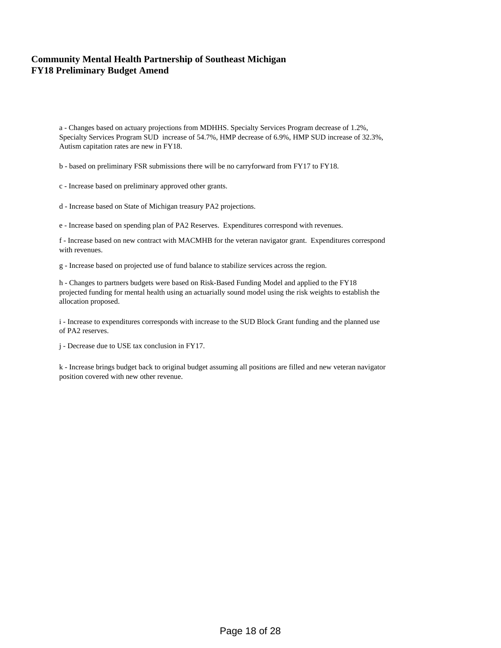## **Community Mental Health Partnership of Southeast Michigan FY18 Preliminary Budget Amend**

a - Changes based on actuary projections from MDHHS. Specialty Services Program decrease of 1.2%, Specialty Services Program SUD increase of 54.7%, HMP decrease of 6.9%, HMP SUD increase of 32.3%, Autism capitation rates are new in FY18.

b - based on preliminary FSR submissions there will be no carryforward from FY17 to FY18.

c - Increase based on preliminary approved other grants.

d - Increase based on State of Michigan treasury PA2 projections.

e - Increase based on spending plan of PA2 Reserves. Expenditures correspond with revenues.

f - Increase based on new contract with MACMHB for the veteran navigator grant. Expenditures correspond with revenues.

g - Increase based on projected use of fund balance to stabilize services across the region.

h - Changes to partners budgets were based on Risk-Based Funding Model and applied to the FY18 projected funding for mental health using an actuarially sound model using the risk weights to establish the allocation proposed.

i - Increase to expenditures corresponds with increase to the SUD Block Grant funding and the planned use of PA2 reserves.

j - Decrease due to USE tax conclusion in FY17.

k - Increase brings budget back to original budget assuming all positions are filled and new veteran navigator position covered with new other revenue.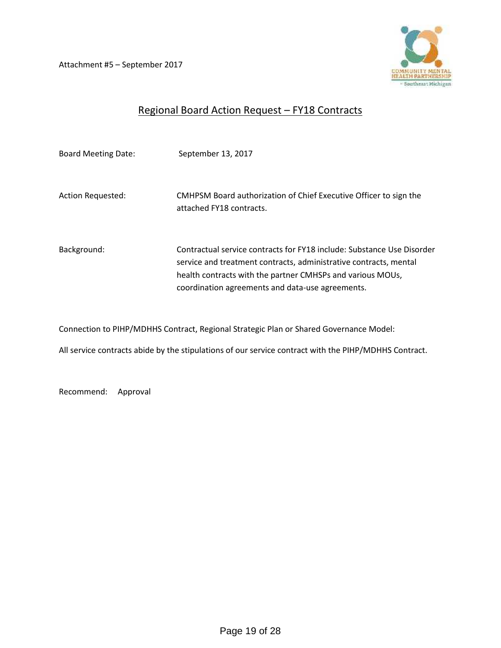Attachment #5 – September 2017



## Regional Board Action Request – FY18 Contracts

| <b>Board Meeting Date:</b> | September 13, 2017                                                                                                                                                                                                                                            |
|----------------------------|---------------------------------------------------------------------------------------------------------------------------------------------------------------------------------------------------------------------------------------------------------------|
| <b>Action Requested:</b>   | CMHPSM Board authorization of Chief Executive Officer to sign the<br>attached FY18 contracts.                                                                                                                                                                 |
| Background:                | Contractual service contracts for FY18 include: Substance Use Disorder<br>service and treatment contracts, administrative contracts, mental<br>health contracts with the partner CMHSPs and various MOUs,<br>coordination agreements and data-use agreements. |

Connection to PIHP/MDHHS Contract, Regional Strategic Plan or Shared Governance Model:

All service contracts abide by the stipulations of our service contract with the PIHP/MDHHS Contract.

Recommend: Approval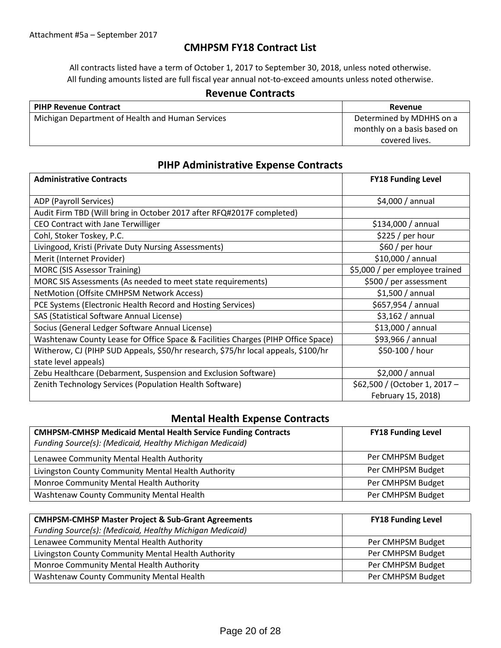## **CMHPSM FY18 Contract List**

All contracts listed have a term of October 1, 2017 to September 30, 2018, unless noted otherwise. All funding amounts listed are full fiscal year annual not-to-exceed amounts unless noted otherwise.

#### **Revenue Contracts**

| <b>PIHP Revenue Contract</b>                     | Revenue                     |
|--------------------------------------------------|-----------------------------|
| Michigan Department of Health and Human Services | Determined by MDHHS on a    |
|                                                  | monthly on a basis based on |
|                                                  | covered lives.              |

## **PIHP Administrative Expense Contracts**

| <b>Administrative Contracts</b>                                                   | <b>FY18 Funding Level</b>      |
|-----------------------------------------------------------------------------------|--------------------------------|
| ADP (Payroll Services)                                                            | \$4,000/annual                 |
| Audit Firm TBD (Will bring in October 2017 after RFQ#2017F completed)             |                                |
| CEO Contract with Jane Terwilliger                                                | \$134,000 / annual             |
| Cohl, Stoker Toskey, P.C.                                                         | \$225 / per hour               |
| Livingood, Kristi (Private Duty Nursing Assessments)                              | \$60 / per hour                |
| Merit (Internet Provider)                                                         | \$10,000 / annual              |
| <b>MORC (SIS Assessor Training)</b>                                               | \$5,000 / per employee trained |
| MORC SIS Assessments (As needed to meet state requirements)                       | \$500 / per assessment         |
| NetMotion (Offsite CMHPSM Network Access)                                         | \$1,500/annual                 |
| PCE Systems (Electronic Health Record and Hosting Services)                       | \$657,954 / annual             |
| SAS (Statistical Software Annual License)                                         | \$3,162/annual                 |
| Socius (General Ledger Software Annual License)                                   | $$13,000 /$ annual             |
| Washtenaw County Lease for Office Space & Facilities Charges (PIHP Office Space)  | \$93,966 / annual              |
| Witherow, CJ (PIHP SUD Appeals, \$50/hr research, \$75/hr local appeals, \$100/hr | \$50-100 / hour                |
| state level appeals)                                                              |                                |
| Zebu Healthcare (Debarment, Suspension and Exclusion Software)                    | \$2,000/annual                 |
| Zenith Technology Services (Population Health Software)                           | \$62,500 / (October 1, 2017 -  |
|                                                                                   | February 15, 2018)             |

## **Mental Health Expense Contracts**

| <b>CMHPSM-CMHSP Medicaid Mental Health Service Funding Contracts</b><br>Funding Source(s): (Medicaid, Healthy Michigan Medicaid) | <b>FY18 Funding Level</b> |
|----------------------------------------------------------------------------------------------------------------------------------|---------------------------|
| Lenawee Community Mental Health Authority                                                                                        | Per CMHPSM Budget         |
| Livingston County Community Mental Health Authority                                                                              | Per CMHPSM Budget         |
| Monroe Community Mental Health Authority                                                                                         | Per CMHPSM Budget         |
| Washtenaw County Community Mental Health                                                                                         | Per CMHPSM Budget         |

| <b>CMHPSM-CMHSP Master Project &amp; Sub-Grant Agreements</b> | <b>FY18 Funding Level</b> |
|---------------------------------------------------------------|---------------------------|
| Funding Source(s): (Medicaid, Healthy Michigan Medicaid)      |                           |
| Lenawee Community Mental Health Authority                     | Per CMHPSM Budget         |
| Livingston County Community Mental Health Authority           | Per CMHPSM Budget         |
| Monroe Community Mental Health Authority                      | Per CMHPSM Budget         |
| Washtenaw County Community Mental Health                      | Per CMHPSM Budget         |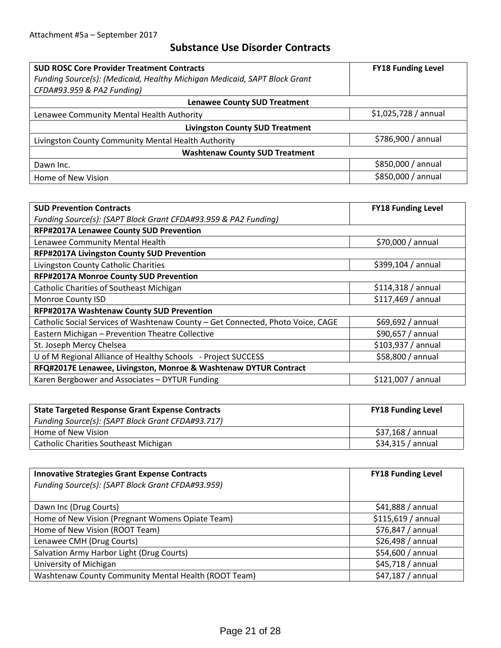## **Substance Use Disorder Contracts**

| <b>SUD ROSC Core Provider Treatment Contracts</b>                         | <b>FY18 Funding Level</b> |  |  |  |  |
|---------------------------------------------------------------------------|---------------------------|--|--|--|--|
| Funding Source(s): (Medicaid, Healthy Michigan Medicaid, SAPT Block Grant |                           |  |  |  |  |
| CFDA#93.959 & PA2 Funding)                                                |                           |  |  |  |  |
| <b>Lenawee County SUD Treatment</b>                                       |                           |  |  |  |  |
| Lenawee Community Mental Health Authority                                 | \$1,025,728/annual        |  |  |  |  |
| <b>Livingston County SUD Treatment</b>                                    |                           |  |  |  |  |
| Livingston County Community Mental Health Authority                       | \$786,900 / annual        |  |  |  |  |
| <b>Washtenaw County SUD Treatment</b>                                     |                           |  |  |  |  |
| Dawn Inc.                                                                 | \$850,000 / annual        |  |  |  |  |
| Home of New Vision                                                        | \$850,000 / annual        |  |  |  |  |

| <b>SUD Prevention Contracts</b>                                                 | <b>FY18 Funding Level</b> |
|---------------------------------------------------------------------------------|---------------------------|
| Funding Source(s): (SAPT Block Grant CFDA#93.959 & PA2 Funding)                 |                           |
| RFP#2017A Lenawee County SUD Prevention                                         |                           |
| Lenawee Community Mental Health                                                 | \$70,000 / annual         |
| <b>RFP#2017A Livingston County SUD Prevention</b>                               |                           |
| Livingston County Catholic Charities                                            | \$399,104 / annual        |
| RFP#2017A Monroe County SUD Prevention                                          |                           |
| <b>Catholic Charities of Southeast Michigan</b>                                 | \$114,318/annual          |
| Monroe County ISD                                                               | \$117,469 / annual        |
| RFP#2017A Washtenaw County SUD Prevention                                       |                           |
| Catholic Social Services of Washtenaw County - Get Connected, Photo Voice, CAGE | \$69,692/annual           |
| Eastern Michigan - Prevention Theatre Collective                                | \$90,657 / annual         |
| St. Joseph Mercy Chelsea                                                        | \$103,937 / annual        |
| U of M Regional Alliance of Healthy Schools - Project SUCCESS                   | \$58,800 / annual         |
| RFQ#2017E Lenawee, Livingston, Monroe & Washtenaw DYTUR Contract                |                           |
| Karen Bergbower and Associates - DYTUR Funding                                  | \$121,007 / annual        |

| <b>State Targeted Response Grant Expense Contracts</b> | <b>FY18 Funding Level</b> |
|--------------------------------------------------------|---------------------------|
| Funding Source(s): (SAPT Block Grant CFDA#93.717)      |                           |
| Home of New Vision                                     | \$37,168 / annual         |
| <b>Catholic Charities Southeast Michigan</b>           | \$34,315 / annual         |

| <b>Innovative Strategies Grant Expense Contracts</b> | <b>FY18 Funding Level</b> |
|------------------------------------------------------|---------------------------|
| Funding Source(s): (SAPT Block Grant CFDA#93.959)    |                           |
|                                                      |                           |
| Dawn Inc (Drug Courts)                               | $$41,888$ / annual        |
| Home of New Vision (Pregnant Womens Opiate Team)     | \$115,619/annual          |
| Home of New Vision (ROOT Team)                       | $$76,847 /$ annual        |
| Lenawee CMH (Drug Courts)                            | \$26,498 / annual         |
| Salvation Army Harbor Light (Drug Courts)            | \$54,600 / annual         |
| University of Michigan                               | \$45,718 / annual         |
| Washtenaw County Community Mental Health (ROOT Team) | \$47,187 / annual         |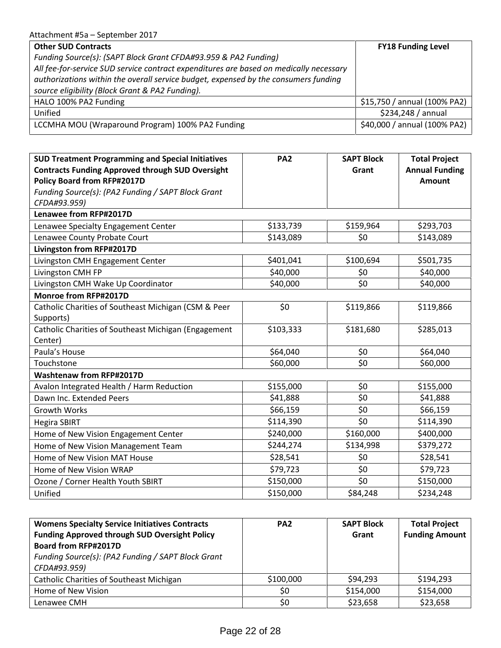| <b>Other SUD Contracts</b>                                                             | <b>FY18 Funding Level</b>    |
|----------------------------------------------------------------------------------------|------------------------------|
| Funding Source(s): (SAPT Block Grant CFDA#93.959 & PA2 Funding)                        |                              |
| All fee-for-service SUD service contract expenditures are based on medically necessary |                              |
| authorizations within the overall service budget, expensed by the consumers funding    |                              |
| source eligibility (Block Grant & PA2 Funding).                                        |                              |
| HALO 100% PA2 Funding                                                                  | \$15,750 / annual (100% PA2) |
| Unified                                                                                | \$234,248 / annual           |
| LCCMHA MOU (Wraparound Program) 100% PA2 Funding                                       | \$40,000 / annual (100% PA2) |

| Lenawee from RFP#2017D<br>Lenawee Specialty Engagement Center<br>Lenawee County Probate Court<br>Livingston from RFP#2017D<br>Livingston CMH Engagement Center<br>Livingston CMH FP<br>Livingston CMH Wake Up Coordinator<br>Monroe from RFP#2017D | \$133,739<br>\$159,964<br>\$143,089<br>\$0<br>\$100,694<br>\$401,041<br>\$40,000<br>\$0 | \$293,703<br>\$143,089<br>\$501,735 |
|----------------------------------------------------------------------------------------------------------------------------------------------------------------------------------------------------------------------------------------------------|-----------------------------------------------------------------------------------------|-------------------------------------|
|                                                                                                                                                                                                                                                    |                                                                                         |                                     |
|                                                                                                                                                                                                                                                    |                                                                                         |                                     |
|                                                                                                                                                                                                                                                    |                                                                                         |                                     |
|                                                                                                                                                                                                                                                    |                                                                                         |                                     |
|                                                                                                                                                                                                                                                    |                                                                                         |                                     |
|                                                                                                                                                                                                                                                    |                                                                                         | \$40,000                            |
|                                                                                                                                                                                                                                                    | \$0<br>\$40,000                                                                         | \$40,000                            |
|                                                                                                                                                                                                                                                    |                                                                                         |                                     |
| Catholic Charities of Southeast Michigan (CSM & Peer                                                                                                                                                                                               | \$0<br>\$119,866                                                                        | \$119,866                           |
|                                                                                                                                                                                                                                                    |                                                                                         |                                     |
| Catholic Charities of Southeast Michigan (Engagement                                                                                                                                                                                               | \$103,333<br>\$181,680                                                                  | \$285,013                           |
|                                                                                                                                                                                                                                                    |                                                                                         |                                     |
|                                                                                                                                                                                                                                                    | \$0<br>\$64,040                                                                         | \$64,040                            |
|                                                                                                                                                                                                                                                    | \$0<br>\$60,000                                                                         | \$60,000                            |
| <b>Washtenaw from RFP#2017D</b>                                                                                                                                                                                                                    |                                                                                         |                                     |
| Avalon Integrated Health / Harm Reduction                                                                                                                                                                                                          | \$155,000<br>\$0                                                                        | \$155,000                           |
| Dawn Inc. Extended Peers                                                                                                                                                                                                                           | \$0<br>\$41,888                                                                         | \$41,888                            |
|                                                                                                                                                                                                                                                    | \$0<br>\$66,159                                                                         | \$66,159                            |
|                                                                                                                                                                                                                                                    | \$0<br>\$114,390                                                                        | \$114,390                           |
| Home of New Vision Engagement Center                                                                                                                                                                                                               | \$160,000<br>\$240,000                                                                  | \$400,000                           |
| Home of New Vision Management Team                                                                                                                                                                                                                 | \$134,998<br>\$244,274                                                                  | \$379,272                           |
| Home of New Vision MAT House                                                                                                                                                                                                                       | \$0<br>\$28,541                                                                         | \$28,541                            |
| Home of New Vision WRAP                                                                                                                                                                                                                            | \$79,723<br>\$0                                                                         | \$79,723                            |
| Ozone / Corner Health Youth SBIRT                                                                                                                                                                                                                  | \$0<br>\$150,000                                                                        | \$150,000                           |
|                                                                                                                                                                                                                                                    | \$150,000<br>\$84,248                                                                   | \$234,248                           |
|                                                                                                                                                                                                                                                    |                                                                                         |                                     |

| <b>Womens Specialty Service Initiatives Contracts</b> | PA <sub>2</sub> | <b>SAPT Block</b> | <b>Total Project</b>  |
|-------------------------------------------------------|-----------------|-------------------|-----------------------|
| <b>Funding Approved through SUD Oversight Policy</b>  |                 | Grant             | <b>Funding Amount</b> |
| <b>Board from RFP#2017D</b>                           |                 |                   |                       |
| Funding Source(s): (PA2 Funding / SAPT Block Grant    |                 |                   |                       |
| CFDA#93.959)                                          |                 |                   |                       |
| <b>Catholic Charities of Southeast Michigan</b>       | \$100,000       | \$94,293          | \$194,293             |
| Home of New Vision                                    | \$0             | \$154,000         | \$154,000             |
| Lenawee CMH                                           | \$0             | \$23,658          | \$23,658              |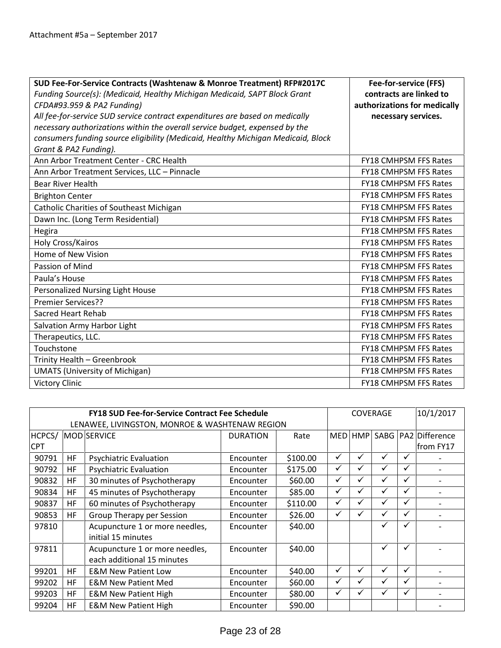| SUD Fee-For-Service Contracts (Washtenaw & Monroe Treatment) RFP#2017C           | Fee-for-service (FFS)        |
|----------------------------------------------------------------------------------|------------------------------|
| Funding Source(s): (Medicaid, Healthy Michigan Medicaid, SAPT Block Grant        | contracts are linked to      |
| CFDA#93.959 & PA2 Funding)                                                       | authorizations for medically |
| All fee-for-service SUD service contract expenditures are based on medically     | necessary services.          |
| necessary authorizations within the overall service budget, expensed by the      |                              |
| consumers funding source eligibility (Medicaid, Healthy Michigan Medicaid, Block |                              |
| Grant & PA2 Funding).                                                            |                              |
| Ann Arbor Treatment Center - CRC Health                                          | <b>FY18 CMHPSM FFS Rates</b> |
| Ann Arbor Treatment Services, LLC - Pinnacle                                     | <b>FY18 CMHPSM FFS Rates</b> |
| <b>Bear River Health</b>                                                         | FY18 CMHPSM FFS Rates        |
| <b>Brighton Center</b>                                                           | <b>FY18 CMHPSM FFS Rates</b> |
| Catholic Charities of Southeast Michigan                                         | <b>FY18 CMHPSM FFS Rates</b> |
| Dawn Inc. (Long Term Residential)                                                | <b>FY18 CMHPSM FFS Rates</b> |
| Hegira                                                                           | <b>FY18 CMHPSM FFS Rates</b> |
| Holy Cross/Kairos                                                                | FY18 CMHPSM FFS Rates        |
| Home of New Vision                                                               | FY18 CMHPSM FFS Rates        |
| Passion of Mind                                                                  | FY18 CMHPSM FFS Rates        |
| Paula's House                                                                    | <b>FY18 CMHPSM FFS Rates</b> |
| Personalized Nursing Light House                                                 | <b>FY18 CMHPSM FFS Rates</b> |
| <b>Premier Services??</b>                                                        | <b>FY18 CMHPSM FFS Rates</b> |
| <b>Sacred Heart Rehab</b>                                                        | <b>FY18 CMHPSM FFS Rates</b> |
| Salvation Army Harbor Light                                                      | <b>FY18 CMHPSM FFS Rates</b> |
| Therapeutics, LLC.                                                               | FY18 CMHPSM FFS Rates        |
| Touchstone                                                                       | <b>FY18 CMHPSM FFS Rates</b> |
| Trinity Health - Greenbrook                                                      | FY18 CMHPSM FFS Rates        |
| <b>UMATS (University of Michigan)</b>                                            | <b>FY18 CMHPSM FFS Rates</b> |
| <b>Victory Clinic</b>                                                            | <b>FY18 CMHPSM FFS Rates</b> |

| <b>FY18 SUD Fee-for-Service Contract Fee Schedule</b> |           |                                                |                 |          | <b>COVERAGE</b> |            | 10/1/2017    |              |                         |
|-------------------------------------------------------|-----------|------------------------------------------------|-----------------|----------|-----------------|------------|--------------|--------------|-------------------------|
|                                                       |           | LENAWEE, LIVINGSTON, MONROE & WASHTENAW REGION |                 |          |                 |            |              |              |                         |
| HCPCS/                                                |           | MOD SERVICE                                    | <b>DURATION</b> | Rate     | <b>MED</b>      | <b>HMP</b> |              |              | SABG   PA2   Difference |
| <b>CPT</b>                                            |           |                                                |                 |          |                 |            |              |              | from FY17               |
| 90791                                                 | HF        | <b>Psychiatric Evaluation</b>                  | Encounter       | \$100.00 | ✓               | ✓          | ✓            | ✔            |                         |
| 90792                                                 | HF        | <b>Psychiatric Evaluation</b>                  | Encounter       | \$175.00 | ✓               | ✓          | ✓            | ✓            |                         |
| 90832                                                 | <b>HF</b> | 30 minutes of Psychotherapy                    | Encounter       | \$60.00  | ✓               |            | ✓            | √            |                         |
| 90834                                                 | <b>HF</b> | 45 minutes of Psychotherapy                    | Encounter       | \$85.00  | ✓               | ✔          | ✓            | ✓            |                         |
| 90837                                                 | HF        | 60 minutes of Psychotherapy                    | Encounter       | \$110.00 | ✓               |            | ✓            | $\checkmark$ |                         |
| 90853                                                 | <b>HF</b> | Group Therapy per Session                      | Encounter       | \$26.00  | ✓               |            | ✓            | ✓            |                         |
| 97810                                                 |           | Acupuncture 1 or more needles,                 | Encounter       | \$40.00  |                 |            | ✓            | ✔            |                         |
|                                                       |           | initial 15 minutes                             |                 |          |                 |            |              |              |                         |
| 97811                                                 |           | Acupuncture 1 or more needles,                 | Encounter       | \$40.00  |                 |            | ✓            | ✔            |                         |
|                                                       |           | each additional 15 minutes                     |                 |          |                 |            |              |              |                         |
| 99201                                                 | HF        | <b>E&amp;M New Patient Low</b>                 | Encounter       | \$40.00  | ✓               | ✓          | $\checkmark$ | ✓            |                         |
| 99202                                                 | <b>HF</b> | <b>E&amp;M New Patient Med</b>                 | Encounter       | \$60.00  | ✓               | ✓          | ✓            | ✓            |                         |
| 99203                                                 | <b>HF</b> | <b>E&amp;M New Patient High</b>                | Encounter       | \$80.00  | ✓               |            | ✓            | ✓            |                         |
| 99204                                                 | <b>HF</b> | <b>E&amp;M New Patient High</b>                | Encounter       | \$90.00  |                 |            |              |              |                         |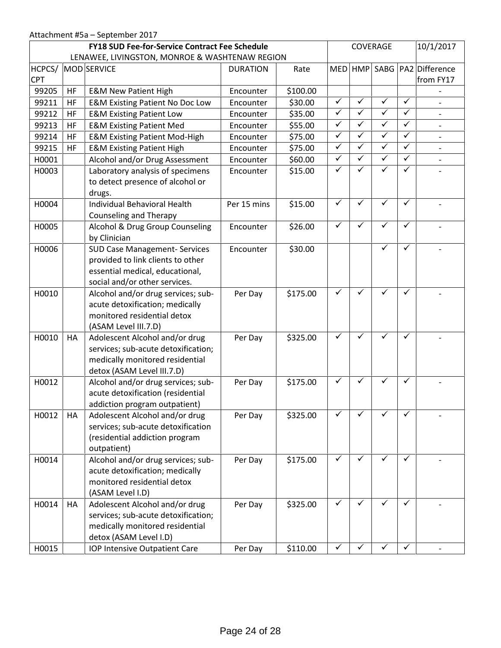| <b>FY18 SUD Fee-for-Service Contract Fee Schedule</b><br>LENAWEE, LIVINGSTON, MONROE & WASHTENAW REGION |          |                                                                                                                                               |                        |                    | COVERAGE     |              |              |              | 10/1/2017                |
|---------------------------------------------------------------------------------------------------------|----------|-----------------------------------------------------------------------------------------------------------------------------------------------|------------------------|--------------------|--------------|--------------|--------------|--------------|--------------------------|
| HCPCS/                                                                                                  |          | MOD SERVICE                                                                                                                                   | <b>DURATION</b>        | Rate               | <b>MED</b>   |              |              |              | HMP SABG PA2 Difference  |
| <b>CPT</b><br>99205                                                                                     |          |                                                                                                                                               |                        |                    |              |              |              |              | from FY17                |
| 99211                                                                                                   | HF       | <b>E&amp;M New Patient High</b>                                                                                                               | Encounter              | \$100.00           | $\checkmark$ | $\checkmark$ | $\checkmark$ | $\checkmark$ |                          |
| 99212                                                                                                   | HF       | <b>E&amp;M Existing Patient No Doc Low</b>                                                                                                    | Encounter              | \$30.00<br>\$35.00 | $\checkmark$ | $\checkmark$ | $\checkmark$ | $\checkmark$ |                          |
| 99213                                                                                                   | HF<br>HF | <b>E&amp;M Existing Patient Low</b><br><b>E&amp;M Existing Patient Med</b>                                                                    | Encounter<br>Encounter | \$55.00            | $\checkmark$ | $\checkmark$ | $\checkmark$ | $\checkmark$ | $\overline{\phantom{a}}$ |
| 99214                                                                                                   | HF       | <b>E&amp;M Existing Patient Mod-High</b>                                                                                                      | Encounter              | \$75.00            | $\checkmark$ | $\checkmark$ | $\checkmark$ | $\checkmark$ |                          |
| 99215                                                                                                   | HF       | <b>E&amp;M Existing Patient High</b>                                                                                                          | Encounter              | \$75.00            | $\checkmark$ | $\checkmark$ | $\checkmark$ | $\checkmark$ |                          |
| H0001                                                                                                   |          | Alcohol and/or Drug Assessment                                                                                                                | Encounter              | \$60.00            | $\checkmark$ | $\checkmark$ | $\checkmark$ | $\checkmark$ | $\frac{1}{2}$            |
| H0003                                                                                                   |          | Laboratory analysis of specimens                                                                                                              | Encounter              | \$15.00            | $\checkmark$ | ✓            | ✓            | ✓            |                          |
|                                                                                                         |          | to detect presence of alcohol or<br>drugs.                                                                                                    |                        |                    |              |              |              |              |                          |
| H0004                                                                                                   |          | Individual Behavioral Health<br><b>Counseling and Therapy</b>                                                                                 | Per 15 mins            | \$15.00            | $\checkmark$ | ✓            | $\checkmark$ | ✓            |                          |
| H0005                                                                                                   |          | Alcohol & Drug Group Counseling<br>by Clinician                                                                                               | Encounter              | \$26.00            | $\checkmark$ | ✓            | $\checkmark$ | ✓            |                          |
| H0006                                                                                                   |          | <b>SUD Case Management- Services</b><br>provided to link clients to other<br>essential medical, educational,<br>social and/or other services. | Encounter              | \$30.00            |              |              | ✓            | ✓            |                          |
| H0010                                                                                                   |          | Alcohol and/or drug services; sub-<br>acute detoxification; medically<br>monitored residential detox<br>(ASAM Level III.7.D)                  | Per Day                | \$175.00           | $\checkmark$ | $\checkmark$ | ✓            | $\checkmark$ |                          |
| H0010                                                                                                   | HA       | Adolescent Alcohol and/or drug<br>services; sub-acute detoxification;<br>medically monitored residential<br>detox (ASAM Level III.7.D)        | Per Day                | \$325.00           | $\checkmark$ | $\checkmark$ | $\checkmark$ | $\checkmark$ |                          |
| H0012                                                                                                   |          | Alcohol and/or drug services; sub-<br>acute detoxification (residential<br>addiction program outpatient)                                      | Per Day                | \$175.00           | $\checkmark$ | $\checkmark$ | $\checkmark$ | $\checkmark$ |                          |
| H0012                                                                                                   | HA       | Adolescent Alcohol and/or drug<br>services; sub-acute detoxification<br>(residential addiction program<br>outpatient)                         | Per Day                | \$325.00           | ✓            |              |              | ✓            |                          |
| H0014                                                                                                   |          | Alcohol and/or drug services; sub-<br>acute detoxification; medically<br>monitored residential detox<br>(ASAM Level I.D)                      | Per Day                | \$175.00           | $\checkmark$ | ✓            | ✓            | ✓            |                          |
| H0014                                                                                                   | HA       | Adolescent Alcohol and/or drug<br>services; sub-acute detoxification;<br>medically monitored residential<br>detox (ASAM Level I.D)            | Per Day                | \$325.00           | $\checkmark$ | ✓            | ✓            | ✓            |                          |
| H0015                                                                                                   |          | IOP Intensive Outpatient Care                                                                                                                 | Per Day                | \$110.00           | ✓            | ✓            | ✓            | ✓            |                          |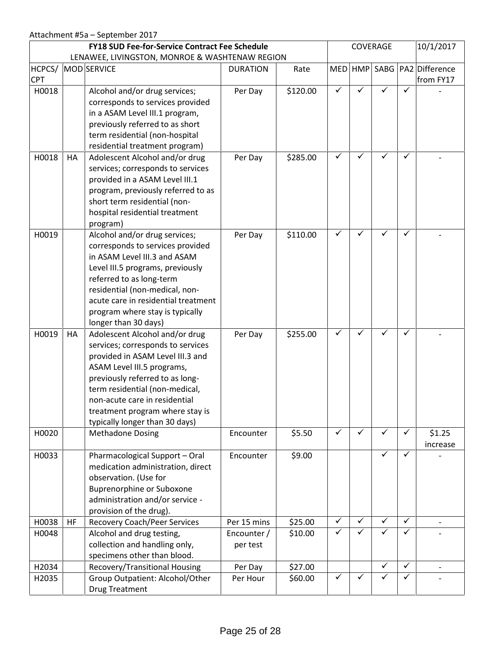| <b>FY18 SUD Fee-for-Service Contract Fee Schedule</b><br>LENAWEE, LIVINGSTON, MONROE & WASHTENAW REGION |    |                                                                                                                                                                                                                                                                                                                  |                            | COVERAGE           |                              |                   |                   | 10/1/2017         |                          |
|---------------------------------------------------------------------------------------------------------|----|------------------------------------------------------------------------------------------------------------------------------------------------------------------------------------------------------------------------------------------------------------------------------------------------------------------|----------------------------|--------------------|------------------------------|-------------------|-------------------|-------------------|--------------------------|
| HCPCS/                                                                                                  |    | MOD SERVICE                                                                                                                                                                                                                                                                                                      | <b>DURATION</b>            | Rate               | <b>MED</b>                   | <b>HMP</b>        |                   |                   | SABG   PA2   Difference  |
| <b>CPT</b>                                                                                              |    |                                                                                                                                                                                                                                                                                                                  |                            |                    |                              |                   |                   |                   | from FY17                |
| H0018                                                                                                   |    | Alcohol and/or drug services;<br>corresponds to services provided<br>in a ASAM Level III.1 program,<br>previously referred to as short<br>term residential (non-hospital<br>residential treatment program)                                                                                                       | Per Day                    | \$120.00           | $\checkmark$                 | ✓                 | ✓                 | ✓                 |                          |
| H0018                                                                                                   | HA | Adolescent Alcohol and/or drug<br>services; corresponds to services<br>provided in a ASAM Level III.1<br>program, previously referred to as<br>short term residential (non-<br>hospital residential treatment<br>program)                                                                                        | Per Day                    | \$285.00           | $\checkmark$                 | ✓                 |                   | ✓                 |                          |
| H0019                                                                                                   |    | Alcohol and/or drug services;<br>corresponds to services provided<br>in ASAM Level III.3 and ASAM<br>Level III.5 programs, previously<br>referred to as long-term<br>residential (non-medical, non-<br>acute care in residential treatment<br>program where stay is typically<br>longer than 30 days)            | Per Day                    | \$110.00           | $\checkmark$                 | $\checkmark$      | ✓                 | $\checkmark$      |                          |
| H0019                                                                                                   | HA | Adolescent Alcohol and/or drug<br>services; corresponds to services<br>provided in ASAM Level III.3 and<br>ASAM Level III.5 programs,<br>previously referred to as long-<br>term residential (non-medical,<br>non-acute care in residential<br>treatment program where stay is<br>typically longer than 30 days) | Per Day                    | \$255.00           | $\checkmark$                 | ✓                 | ✓                 | $\checkmark$      |                          |
| H0020                                                                                                   |    | <b>Methadone Dosing</b>                                                                                                                                                                                                                                                                                          | Encounter                  | \$5.50             | $\checkmark$                 | $\checkmark$      | $\checkmark$      | $\checkmark$      | \$1.25<br>increase       |
| H0033                                                                                                   |    | Pharmacological Support - Oral<br>medication administration, direct<br>observation. (Use for<br><b>Buprenorphine or Suboxone</b><br>administration and/or service -<br>provision of the drug).                                                                                                                   | Encounter                  | \$9.00             |                              |                   | $\checkmark$      | $\checkmark$      |                          |
| H0038<br>H0048                                                                                          | HF | <b>Recovery Coach/Peer Services</b><br>Alcohol and drug testing,                                                                                                                                                                                                                                                 | Per 15 mins<br>Encounter / | \$25.00<br>\$10.00 | $\checkmark$<br>$\checkmark$ | $\checkmark$<br>✓ | $\checkmark$<br>✓ | $\checkmark$<br>✓ | $\overline{\phantom{a}}$ |
|                                                                                                         |    | collection and handling only,<br>specimens other than blood.                                                                                                                                                                                                                                                     | per test                   |                    |                              |                   |                   |                   |                          |
| H2034                                                                                                   |    | Recovery/Transitional Housing                                                                                                                                                                                                                                                                                    | Per Day                    | \$27.00            |                              |                   | ✓                 | $\checkmark$      | $\overline{\phantom{a}}$ |
| H2035                                                                                                   |    | Group Outpatient: Alcohol/Other<br><b>Drug Treatment</b>                                                                                                                                                                                                                                                         | Per Hour                   | \$60.00            | $\checkmark$                 | $\checkmark$      | $\checkmark$      | $\checkmark$      |                          |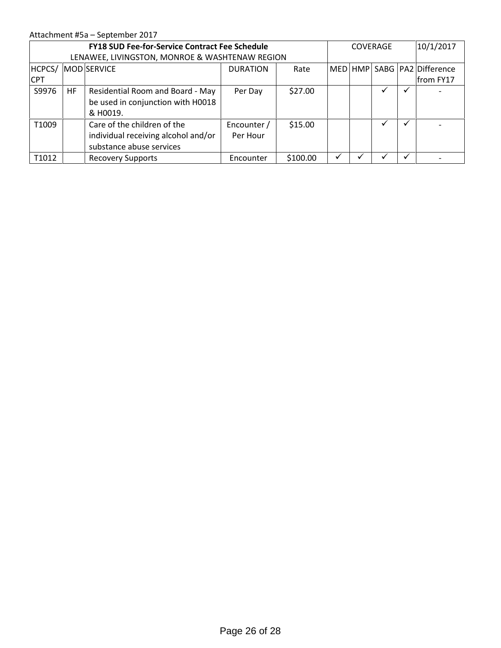## Attachment #5a – September 2017

|                      |    | <b>FY18 SUD Fee-for-Service Contract Fee Schedule</b><br>LENAWEE, LIVINGSTON, MONROE & WASHTENAW REGION |                         |          |              | <b>COVERAGE</b> | 10/1/2017                                        |
|----------------------|----|---------------------------------------------------------------------------------------------------------|-------------------------|----------|--------------|-----------------|--------------------------------------------------|
| HCPCS/<br><b>CPT</b> |    | MOD SERVICE                                                                                             | <b>DURATION</b>         | Rate     |              |                 | MED   HMP   SABG   PA2   Difference<br>from FY17 |
| S9976                | HF | Residential Room and Board - May<br>be used in conjunction with H0018<br>& H0019.                       | Per Day                 | \$27.00  |              |                 |                                                  |
| T1009                |    | Care of the children of the<br>individual receiving alcohol and/or<br>substance abuse services          | Encounter /<br>Per Hour | \$15.00  |              |                 |                                                  |
| T1012                |    | <b>Recovery Supports</b>                                                                                | Encounter               | \$100.00 | $\checkmark$ |                 |                                                  |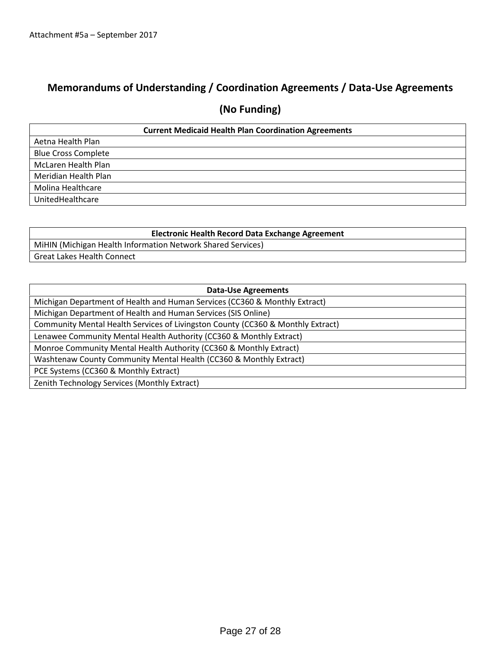# **Memorandums of Understanding / Coordination Agreements / Data-Use Agreements**

# **(No Funding)**

|                            | <b>Current Medicaid Health Plan Coordination Agreements</b> |
|----------------------------|-------------------------------------------------------------|
| Aetna Health Plan          |                                                             |
| <b>Blue Cross Complete</b> |                                                             |
| McLaren Health Plan        |                                                             |
| Meridian Health Plan       |                                                             |
| Molina Healthcare          |                                                             |
| UnitedHealthcare           |                                                             |

| <b>Electronic Health Record Data Exchange Agreement</b>     |
|-------------------------------------------------------------|
| MiHIN (Michigan Health Information Network Shared Services) |
| Great Lakes Health Connect                                  |

| <b>Data-Use Agreements</b>                                                      |
|---------------------------------------------------------------------------------|
| Michigan Department of Health and Human Services (CC360 & Monthly Extract)      |
| Michigan Department of Health and Human Services (SIS Online)                   |
| Community Mental Health Services of Livingston County (CC360 & Monthly Extract) |
| Lenawee Community Mental Health Authority (CC360 & Monthly Extract)             |
| Monroe Community Mental Health Authority (CC360 & Monthly Extract)              |
| Washtenaw County Community Mental Health (CC360 & Monthly Extract)              |
| PCE Systems (CC360 & Monthly Extract)                                           |
| Zenith Technology Services (Monthly Extract)                                    |